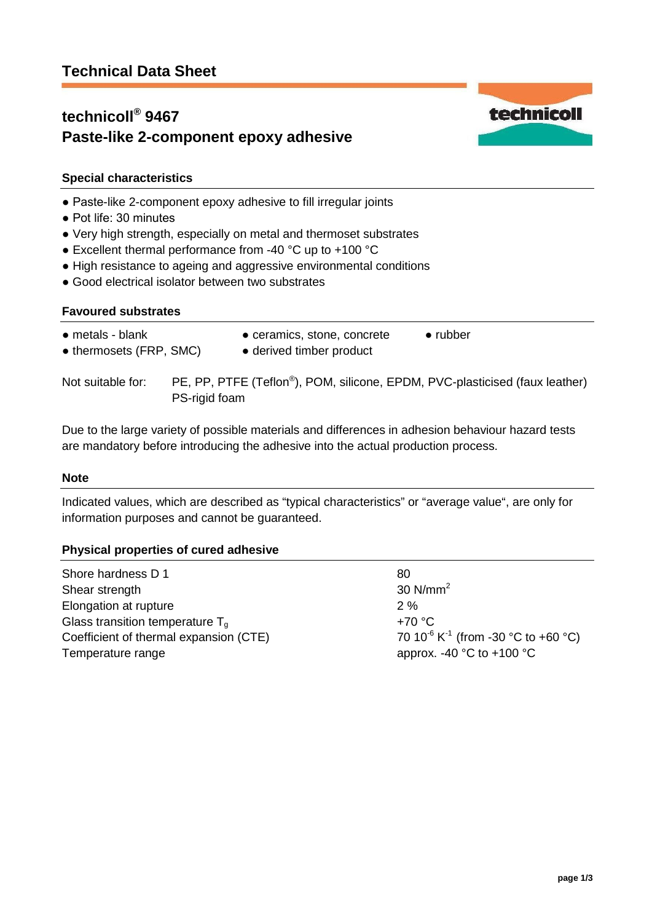## **technicoll® 9467 Paste-like 2-component epoxy adhesive**



technicoll

## **Special characteristics**

- Paste-like 2-component epoxy adhesive to fill irregular joints
- Pot life: 30 minutes
- Very high strength, especially on metal and thermoset substrates
- Excellent thermal performance from -40 °C up to +100 °C
- High resistance to ageing and aggressive environmental conditions
- Good electrical isolator between two substrates

## **Favoured substrates**

| $\bullet$ metals - blank<br>• thermosets (FRP, SMC) |               | • ceramics, stone, concrete<br>• derived timber product                                  | $\bullet$ rubber |
|-----------------------------------------------------|---------------|------------------------------------------------------------------------------------------|------------------|
| Not suitable for:                                   | PS-rigid foam | PE, PP, PTFE (Teflon <sup>®</sup> ), POM, silicone, EPDM, PVC-plasticised (faux leather) |                  |

Due to the large variety of possible materials and differences in adhesion behaviour hazard tests are mandatory before introducing the adhesive into the actual production process.

## **Note**

Indicated values, which are described as "typical characteristics" or "average value", are only for information purposes and cannot be guaranteed.

## **Physical properties of cured adhesive**

| Shore hardness D 1                     | 80                                                          |
|----------------------------------------|-------------------------------------------------------------|
| Shear strength                         | 30 $N/mm2$                                                  |
| Elongation at rupture                  | $2\%$                                                       |
| Glass transition temperature $T_a$     | $+70 °C$                                                    |
| Coefficient of thermal expansion (CTE) | 70 10 <sup>-6</sup> K <sup>-1</sup> (from -30 °C to +60 °C) |
| Temperature range                      | approx. -40 $^{\circ}$ C to +100 $^{\circ}$ C               |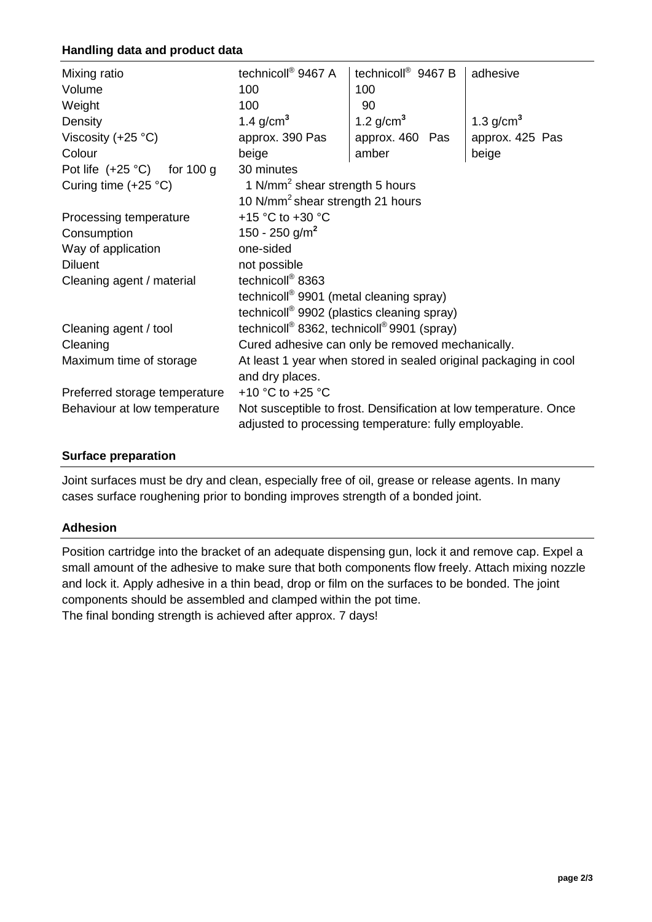## **Handling data and product data**

| Mixing ratio                       | technicoll <sup>®</sup> 9467 A                                     | technicoll <sup>®</sup> 9467 B | adhesive        |  |  |
|------------------------------------|--------------------------------------------------------------------|--------------------------------|-----------------|--|--|
| Volume                             | 100                                                                | 100                            |                 |  |  |
| Weight                             | 100                                                                | 90                             |                 |  |  |
| Density                            | 1.4 $g/cm3$                                                        | 1.2 $g/cm3$                    | 1.3 $g/cm3$     |  |  |
| Viscosity $(+25 °C)$               | approx. 390 Pas                                                    | approx. 460 Pas                | approx. 425 Pas |  |  |
| Colour                             | beige                                                              | amber                          | beige           |  |  |
| Pot life $(+25 °C)$<br>for $100 g$ | 30 minutes                                                         |                                |                 |  |  |
| Curing time $(+25 °C)$             | 1 N/mm <sup>2</sup> shear strength 5 hours                         |                                |                 |  |  |
|                                    | 10 N/mm <sup>2</sup> shear strength 21 hours                       |                                |                 |  |  |
| Processing temperature             | +15 °C to +30 °C                                                   |                                |                 |  |  |
| Consumption                        | 150 - 250 g/m <sup>2</sup>                                         |                                |                 |  |  |
| Way of application                 | one-sided                                                          |                                |                 |  |  |
| <b>Diluent</b>                     | not possible                                                       |                                |                 |  |  |
| Cleaning agent / material          | technicoll <sup>®</sup> 8363                                       |                                |                 |  |  |
|                                    | technicoll <sup>®</sup> 9901 (metal cleaning spray)                |                                |                 |  |  |
|                                    | technicoll <sup>®</sup> 9902 (plastics cleaning spray)             |                                |                 |  |  |
| Cleaning agent / tool              | technicoll <sup>®</sup> 8362, technicoll <sup>®</sup> 9901 (spray) |                                |                 |  |  |
| Cleaning                           | Cured adhesive can only be removed mechanically.                   |                                |                 |  |  |
| Maximum time of storage            | At least 1 year when stored in sealed original packaging in cool   |                                |                 |  |  |
|                                    | and dry places.                                                    |                                |                 |  |  |
| Preferred storage temperature      | +10 $^{\circ}$ C to +25 $^{\circ}$ C                               |                                |                 |  |  |
| Behaviour at low temperature       | Not susceptible to frost. Densification at low temperature. Once   |                                |                 |  |  |
|                                    | adjusted to processing temperature: fully employable.              |                                |                 |  |  |
|                                    |                                                                    |                                |                 |  |  |

## **Surface preparation**

Joint surfaces must be dry and clean, especially free of oil, grease or release agents. In many cases surface roughening prior to bonding improves strength of a bonded joint.

## **Adhesion**

Position cartridge into the bracket of an adequate dispensing gun, lock it and remove cap. Expel a small amount of the adhesive to make sure that both components flow freely. Attach mixing nozzle and lock it. Apply adhesive in a thin bead, drop or film on the surfaces to be bonded. The joint components should be assembled and clamped within the pot time. The final bonding strength is achieved after approx. 7 days!